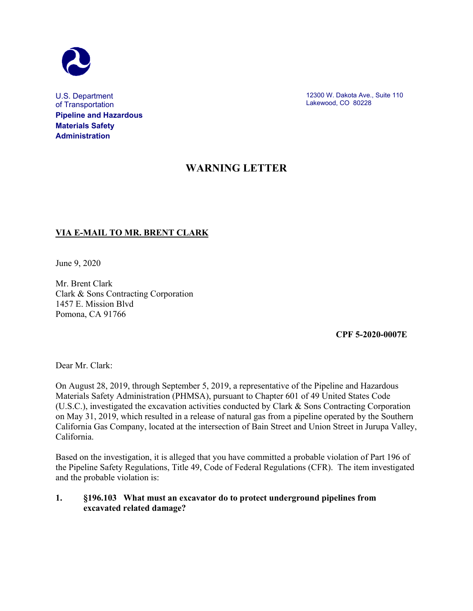

U.S. Department of Transportation **Pipeline and Hazardous Materials Safety Administration**

12300 W. Dakota Ave., Suite 110 Lakewood, CO 80228

## **WARNING LETTER**

## **VIA E-MAIL TO MR. BRENT CLARK**

June 9, 2020

Mr. Brent Clark Clark & Sons Contracting Corporation 1457 E. Mission Blvd Pomona, CA 91766

 **CPF 5-2020-0007E**

Dear Mr. Clark:

On August 28, 2019, through September 5, 2019, a representative of the Pipeline and Hazardous Materials Safety Administration (PHMSA), pursuant to Chapter 601 of 49 United States Code (U.S.C.), investigated the excavation activities conducted by Clark & Sons Contracting Corporation on May 31, 2019, which resulted in a release of natural gas from a pipeline operated by the Southern California Gas Company, located at the intersection of Bain Street and Union Street in Jurupa Valley, California.

Based on the investigation, it is alleged that you have committed a probable violation of Part 196 of the Pipeline Safety Regulations, Title 49, Code of Federal Regulations (CFR). The item investigated and the probable violation is:

## **1. §196.103 What must an excavator do to protect underground pipelines from excavated related damage?**